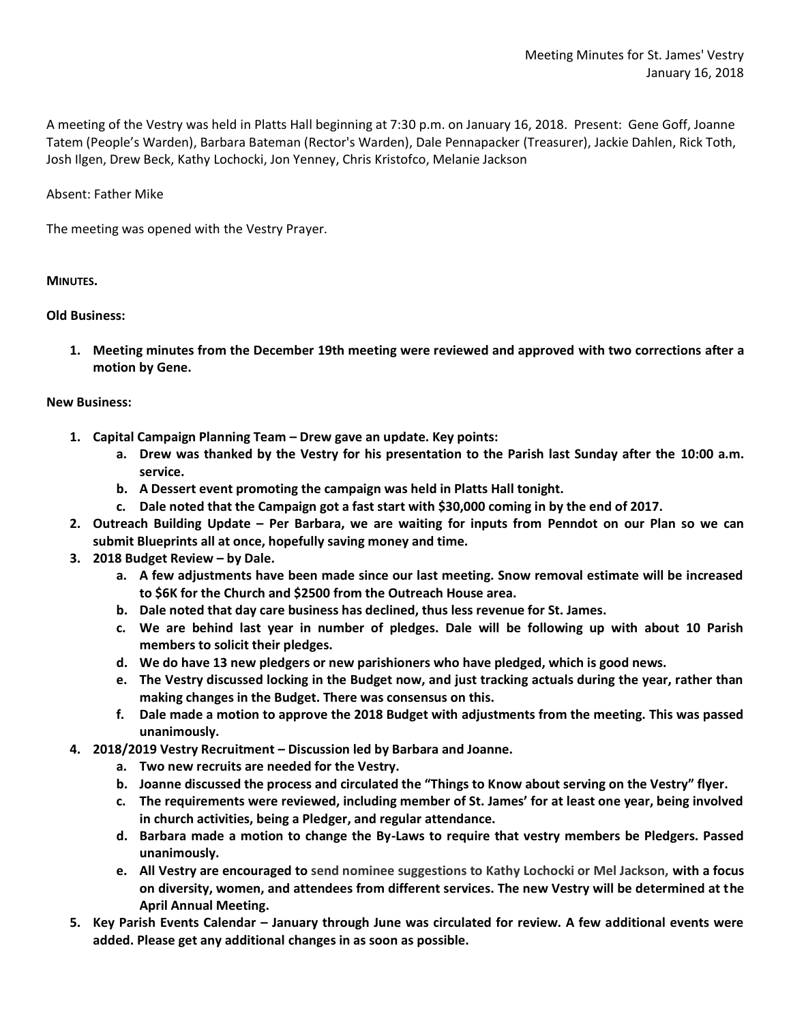A meeting of the Vestry was held in Platts Hall beginning at 7:30 p.m. on January 16, 2018. Present: Gene Goff, Joanne Tatem (People's Warden), Barbara Bateman (Rector's Warden), Dale Pennapacker (Treasurer), Jackie Dahlen, Rick Toth, Josh Ilgen, Drew Beck, Kathy Lochocki, Jon Yenney, Chris Kristofco, Melanie Jackson

Absent: Father Mike

The meeting was opened with the Vestry Prayer.

## **MINUTES.**

## **Old Business:**

**1. Meeting minutes from the December 19th meeting were reviewed and approved with two corrections after a motion by Gene.**

## **New Business:**

- **1. Capital Campaign Planning Team – Drew gave an update. Key points:**
	- **a. Drew was thanked by the Vestry for his presentation to the Parish last Sunday after the 10:00 a.m. service.**
	- **b. A Dessert event promoting the campaign was held in Platts Hall tonight.**
	- **c. Dale noted that the Campaign got a fast start with \$30,000 coming in by the end of 2017.**
- **2. Outreach Building Update – Per Barbara, we are waiting for inputs from Penndot on our Plan so we can submit Blueprints all at once, hopefully saving money and time.**
- **3. 2018 Budget Review – by Dale.** 
	- **a. A few adjustments have been made since our last meeting. Snow removal estimate will be increased to \$6K for the Church and \$2500 from the Outreach House area.**
	- **b. Dale noted that day care business has declined, thus less revenue for St. James.**
	- **c. We are behind last year in number of pledges. Dale will be following up with about 10 Parish members to solicit their pledges.**
	- **d. We do have 13 new pledgers or new parishioners who have pledged, which is good news.**
	- **e. The Vestry discussed locking in the Budget now, and just tracking actuals during the year, rather than making changes in the Budget. There was consensus on this.**
	- **f. Dale made a motion to approve the 2018 Budget with adjustments from the meeting. This was passed unanimously.**
- **4. 2018/2019 Vestry Recruitment – Discussion led by Barbara and Joanne.**
	- **a. Two new recruits are needed for the Vestry.**
	- **b. Joanne discussed the process and circulated the "Things to Know about serving on the Vestry" flyer.**
	- **c. The requirements were reviewed, including member of St. James' for at least one year, being involved in church activities, being a Pledger, and regular attendance.**
	- **d. Barbara made a motion to change the By-Laws to require that vestry members be Pledgers. Passed unanimously.**
	- **e. All Vestry are encouraged to send nominee suggestions to Kathy Lochocki or Mel Jackson, with a focus on diversity, women, and attendees from different services. The new Vestry will be determined at the April Annual Meeting.**
- **5. Key Parish Events Calendar – January through June was circulated for review. A few additional events were added. Please get any additional changes in as soon as possible.**